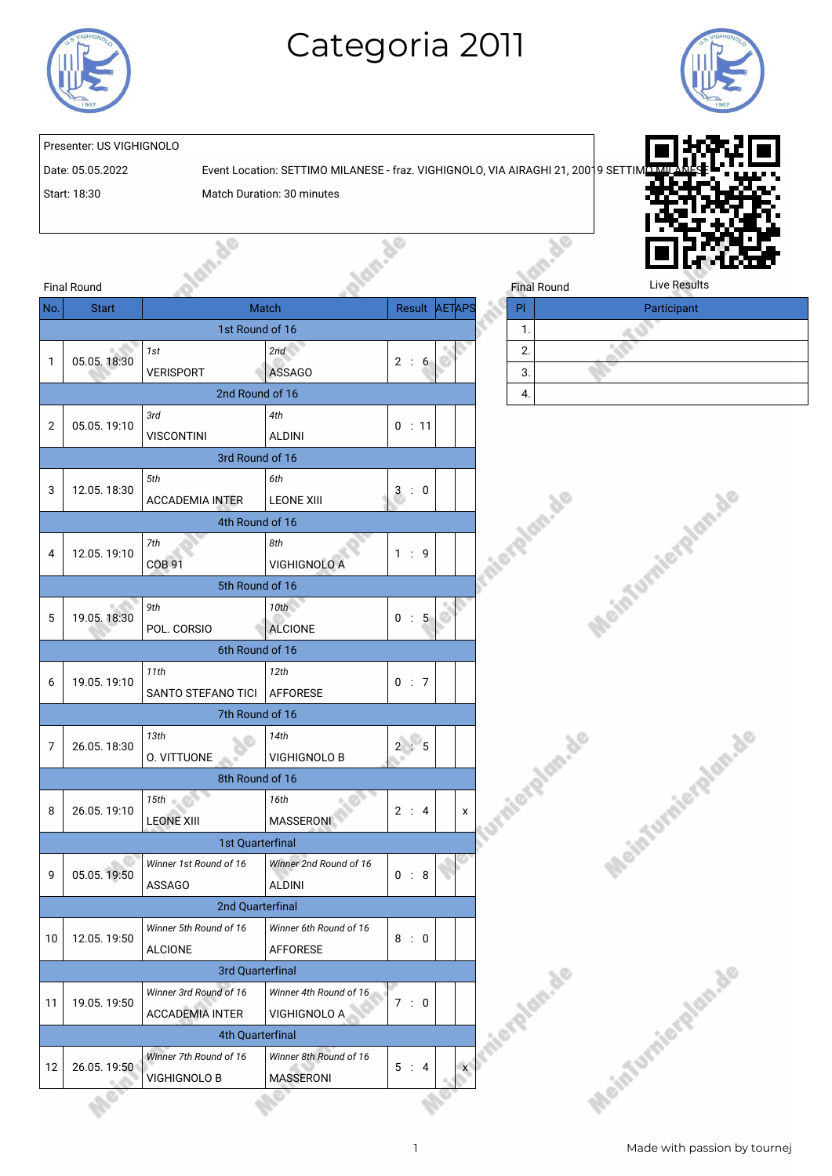

## Categoria 2011



## Presenter: US VIGHIGNOLO

Date: 05.05.2022 Event Location: SETTIMO MILANESE - fraz. VIGHIGNOLO, VIA AIRAGHI 21, 20019 SETTI

Start: 18:30 Match Duration: 30 minutes

**So** 



|                | <b>Final Round</b> |                                                  |                                            |                      |                     | <b>Final Round</b> | <b>Live Results</b> |
|----------------|--------------------|--------------------------------------------------|--------------------------------------------|----------------------|---------------------|--------------------|---------------------|
| No.            | <b>Start</b>       |                                                  | Match                                      |                      | Result <b>AETAP</b> | PI.                | Participant         |
|                |                    | 1st Round of 16                                  |                                            |                      |                     | 1.                 |                     |
| $\mathbf{1}$   | 05.05.18:30        | 1st<br><b>VERISPORT</b>                          | 2nd<br><b>ASSAGO</b>                       | 2 : 6                |                     | 2.<br>3.           |                     |
|                |                    | 2nd Round of 16                                  |                                            |                      |                     | 4.                 |                     |
| 2              | 05.05.19:10        | 3rd<br><b>VISCONTINI</b>                         | 4th<br><b>ALDINI</b>                       | 0 : 11               |                     |                    |                     |
|                |                    | 3rd Round of 16                                  |                                            |                      |                     |                    |                     |
| 3              | 12.05.18:30        | 5th<br><b>ACCADEMIA INTER</b>                    | 6th<br><b>LEONE XIII</b>                   | 3:0                  |                     | <b>TRAMARIA</b>    |                     |
|                |                    | 4th Round of 16                                  |                                            |                      |                     |                    |                     |
| 4              | 12.05.19:10        | 7th<br><b>COB 91</b>                             | 8th<br><b>VIGHIGNOLO A</b>                 | 1 : 9                |                     |                    |                     |
|                |                    | 5th Round of 16                                  |                                            |                      |                     |                    |                     |
| 5              | 19.05.18:30        | 9th<br>POL. CORSIO                               | 10th<br><b>ALCIONE</b>                     | 0 : 5                |                     |                    | Meinfurnierale      |
|                |                    | 6th Round of 16                                  |                                            |                      |                     |                    |                     |
| 6              | 19.05.19:10        | 11th<br>SANTO STEFANO TICI                       | 12th<br>AFFORESE                           | 0 : 7                |                     |                    |                     |
|                |                    | 7th Round of 16                                  |                                            |                      |                     |                    |                     |
| $\overline{7}$ | 26.05.18:30        | 13th<br>O. VITTUONE                              | 14th<br><b>VIGHIGNOLO B</b>                | 2 : 5                |                     | sieralan.de        |                     |
|                |                    | 8th Round of 16                                  |                                            |                      |                     |                    |                     |
| 8              | 26.05.19:10        | 15th<br><b>LEONE XIII</b>                        | 16th<br><b>MASSERONI</b>                   | 2 : 4                | $\mathsf{x}$        |                    | Meinfurnier         |
|                |                    | 1st Quarterfinal                                 |                                            |                      |                     |                    |                     |
| 9              | 05.05.19:50        | Winner 1st Round of 16<br><b>ASSAGO</b>          | Winner 2nd Round of 16<br><b>ALDINI</b>    | 0 : 8                |                     |                    |                     |
|                |                    | 2nd Quarterfinal                                 |                                            |                      |                     |                    |                     |
| 10             | 12.05.19:50        | Winner 5th Round of 16<br><b>ALCIONE</b>         | Winner 6th Round of 16<br><b>AFFORESE</b>  | 8:0                  |                     |                    |                     |
|                |                    | 3rd Quarterfinal                                 |                                            |                      |                     |                    |                     |
| 11             | 19.05.19:50        | Winner 3rd Round of 16<br><b>ACCADEMIA INTER</b> | Winner 4th Round of 16<br>VIGHIGNOLO A     | 7:0                  |                     | Iniergian.de       |                     |
|                |                    | 4th Quarterfinal                                 |                                            |                      |                     |                    |                     |
| 12             | 26.05.19:50        | Winner 7th Round of 16<br>VIGHIGNOLO B           | Winner 8th Round of 16<br><b>MASSERONI</b> | 5:<br>$\overline{4}$ | $\mathsf{x}$        |                    | Meinfurniereld      |
|                |                    |                                                  |                                            |                      |                     |                    |                     |

| Final Round |  | Live Results |  |
|-------------|--|--------------|--|
|             |  | Participant  |  |
|             |  |              |  |
| 2.          |  |              |  |
| 3.          |  |              |  |
| ч.          |  |              |  |





Meinfurnierplan.de